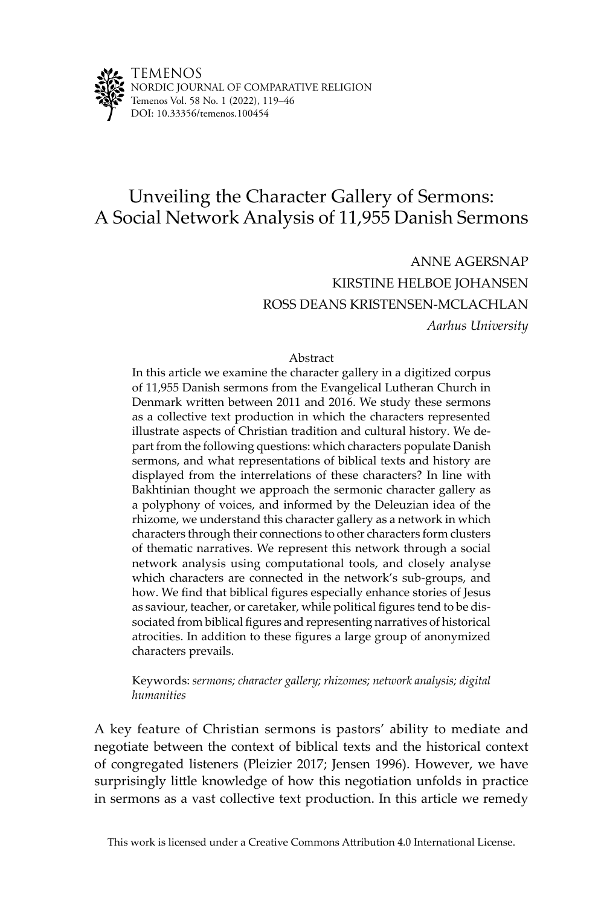

# Unveiling the Character Gallery of Sermons: A Social Network Analysis of 11,955 Danish Sermons

ANNE AGERSNAP KIRSTINE HELBOE JOHANSEN ROSS DEANS KRISTENSEN-MCLACHLAN *Aarhus University*

#### Abstract

In this article we examine the character gallery in a digitized corpus of 11,955 Danish sermons from the Evangelical Lutheran Church in Denmark written between 2011 and 2016. We study these sermons as a collective text production in which the characters represented illustrate aspects of Christian tradition and cultural history. We depart from the following questions: which characters populate Danish sermons, and what representations of biblical texts and history are displayed from the interrelations of these characters? In line with Bakhtinian thought we approach the sermonic character gallery as a polyphony of voices, and informed by the Deleuzian idea of the rhizome, we understand this character gallery as a network in which characters through their connections to other characters form clusters of thematic narratives. We represent this network through a social network analysis using computational tools, and closely analyse which characters are connected in the network's sub-groups, and how. We find that biblical figures especially enhance stories of Jesus as saviour, teacher, or caretaker, while political figures tend to be dissociated from biblical figures and representing narratives of historical atrocities. In addition to these figures a large group of anonymized characters prevails.

Keywords: *sermons; character gallery; rhizomes; network analysis; digital humanities*

A key feature of Christian sermons is pastors' ability to mediate and negotiate between the context of biblical texts and the historical context of congregated listeners (Pleizier 2017; Jensen 1996). However, we have surprisingly little knowledge of how this negotiation unfolds in practice in sermons as a vast collective text production. In this article we remedy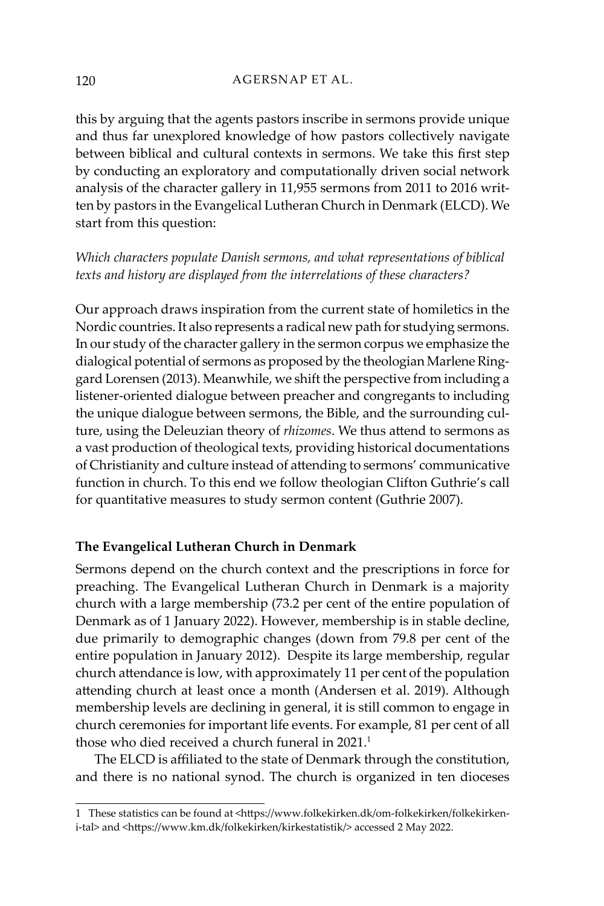this by arguing that the agents pastors inscribe in sermons provide unique and thus far unexplored knowledge of how pastors collectively navigate between biblical and cultural contexts in sermons. We take this first step by conducting an exploratory and computationally driven social network analysis of the character gallery in 11,955 sermons from 2011 to 2016 written by pastors in the Evangelical Lutheran Church in Denmark (ELCD). We start from this question:

*Which characters populate Danish sermons, and what representations of biblical texts and history are displayed from the interrelations of these characters?* 

Our approach draws inspiration from the current state of homiletics in the Nordic countries. It also represents a radical new path for studying sermons. In our study of the character gallery in the sermon corpus we emphasize the dialogical potential of sermons as proposed by the theologian Marlene Ringgard Lorensen (2013). Meanwhile, we shift the perspective from including a listener-oriented dialogue between preacher and congregants to including the unique dialogue between sermons, the Bible, and the surrounding culture, using the Deleuzian theory of *rhizomes*. We thus attend to sermons as a vast production of theological texts, providing historical documentations of Christianity and culture instead of attending to sermons' communicative function in church. To this end we follow theologian Clifton Guthrie's call for quantitative measures to study sermon content (Guthrie 2007).

# **The Evangelical Lutheran Church in Denmark**

Sermons depend on the church context and the prescriptions in force for preaching. The Evangelical Lutheran Church in Denmark is a majority church with a large membership (73.2 per cent of the entire population of Denmark as of 1 January 2022). However, membership is in stable decline, due primarily to demographic changes (down from 79.8 per cent of the entire population in January 2012). Despite its large membership, regular church attendance is low, with approximately 11 per cent of the population attending church at least once a month (Andersen et al. 2019). Although membership levels are declining in general, it is still common to engage in church ceremonies for important life events. For example, 81 per cent of all those who died received a church funeral in 2021.<sup>1</sup>

The ELCD is affiliated to the state of Denmark through the constitution, and there is no national synod. The church is organized in ten dioceses

<sup>1</sup> These statistics can be found at <https://www.folkekirken.dk/om-folkekirken/folkekirkeni-tal> and <https://www.km.dk/folkekirken/kirkestatistik/> accessed 2 May 2022.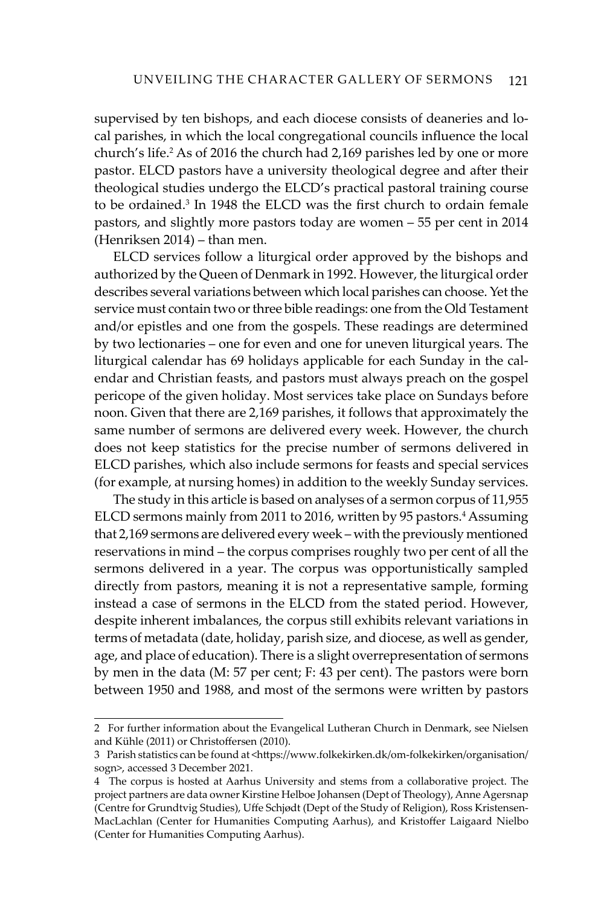supervised by ten bishops, and each diocese consists of deaneries and local parishes, in which the local congregational councils influence the local church's life.<sup>2</sup> As of 2016 the church had 2,169 parishes led by one or more pastor. ELCD pastors have a university theological degree and after their theological studies undergo the ELCD's practical pastoral training course to be ordained.3 In 1948 the ELCD was the first church to ordain female pastors, and slightly more pastors today are women – 55 per cent in 2014 (Henriksen 2014) – than men.

ELCD services follow a liturgical order approved by the bishops and authorized by the Queen of Denmark in 1992. However, the liturgical order describes several variations between which local parishes can choose. Yet the service must contain two or three bible readings: one from the Old Testament and/or epistles and one from the gospels. These readings are determined by two lectionaries – one for even and one for uneven liturgical years. The liturgical calendar has 69 holidays applicable for each Sunday in the calendar and Christian feasts, and pastors must always preach on the gospel pericope of the given holiday. Most services take place on Sundays before noon. Given that there are 2,169 parishes, it follows that approximately the same number of sermons are delivered every week. However, the church does not keep statistics for the precise number of sermons delivered in ELCD parishes, which also include sermons for feasts and special services (for example, at nursing homes) in addition to the weekly Sunday services.

The study in this article is based on analyses of a sermon corpus of 11,955 ELCD sermons mainly from 2011 to 2016, written by 95 pastors.<sup>4</sup> Assuming that 2,169 sermons are delivered every week – with the previously mentioned reservations in mind – the corpus comprises roughly two per cent of all the sermons delivered in a year. The corpus was opportunistically sampled directly from pastors, meaning it is not a representative sample, forming instead a case of sermons in the ELCD from the stated period. However, despite inherent imbalances, the corpus still exhibits relevant variations in terms of metadata (date, holiday, parish size, and diocese, as well as gender, age, and place of education). There is a slight overrepresentation of sermons by men in the data (M: 57 per cent; F: 43 per cent). The pastors were born between 1950 and 1988, and most of the sermons were written by pastors

<sup>2</sup> For further information about the Evangelical Lutheran Church in Denmark, see Nielsen and Kühle (2011) or Christoffersen (2010).

<sup>3</sup> Parish statistics can be found at <https://www.folkekirken.dk/om-folkekirken/organisation/ sogn>, accessed 3 December 2021.

<sup>4</sup> The corpus is hosted at Aarhus University and stems from a collaborative project. The project partners are data owner Kirstine Helboe Johansen (Dept of Theology), Anne Agersnap (Centre for Grundtvig Studies), Uffe Schjødt (Dept of the Study of Religion), Ross Kristensen-MacLachlan (Center for Humanities Computing Aarhus), and Kristoffer Laigaard Nielbo (Center for Humanities Computing Aarhus).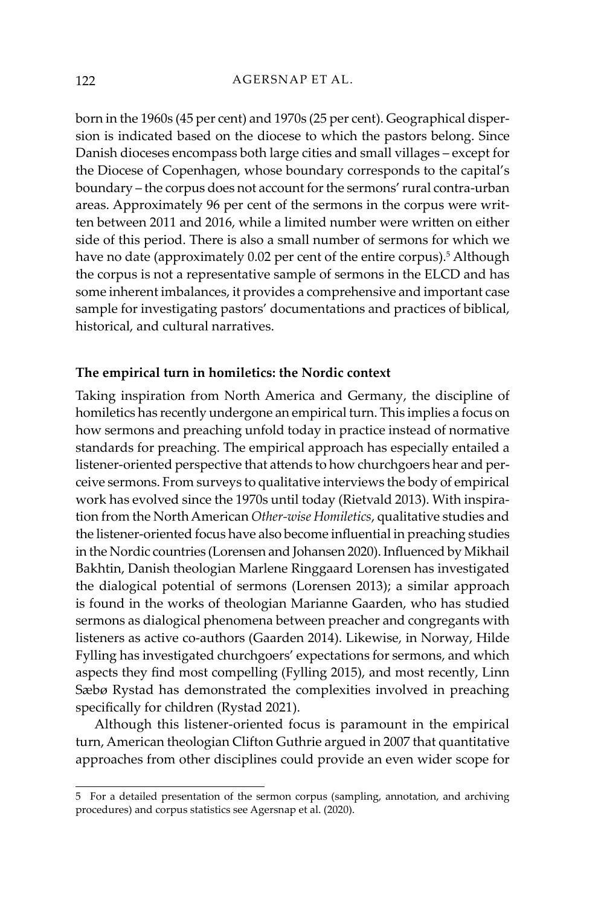born in the 1960s (45 per cent) and 1970s (25 per cent). Geographical dispersion is indicated based on the diocese to which the pastors belong. Since Danish dioceses encompass both large cities and small villages – except for the Diocese of Copenhagen, whose boundary corresponds to the capital's boundary – the corpus does not account for the sermons' rural contra-urban areas. Approximately 96 per cent of the sermons in the corpus were written between 2011 and 2016, while a limited number were written on either side of this period. There is also a small number of sermons for which we have no date (approximately 0.02 per cent of the entire corpus).<sup>5</sup> Although the corpus is not a representative sample of sermons in the ELCD and has some inherent imbalances, it provides a comprehensive and important case sample for investigating pastors' documentations and practices of biblical, historical, and cultural narratives.

# **The empirical turn in homiletics: the Nordic context**

Taking inspiration from North America and Germany, the discipline of homiletics has recently undergone an empirical turn. This implies a focus on how sermons and preaching unfold today in practice instead of normative standards for preaching. The empirical approach has especially entailed a listener-oriented perspective that attends to how churchgoers hear and perceive sermons. From surveys to qualitative interviews the body of empirical work has evolved since the 1970s until today (Rietvald 2013). With inspiration from the North American *Other-wise Homiletics*, qualitative studies and the listener-oriented focus have also become influential in preaching studies in the Nordic countries (Lorensen and Johansen 2020). Influenced by Mikhail Bakhtin, Danish theologian Marlene Ringgaard Lorensen has investigated the dialogical potential of sermons (Lorensen 2013); a similar approach is found in the works of theologian Marianne Gaarden, who has studied sermons as dialogical phenomena between preacher and congregants with listeners as active co-authors (Gaarden 2014). Likewise, in Norway, Hilde Fylling has investigated churchgoers' expectations for sermons, and which aspects they find most compelling (Fylling 2015), and most recently, Linn Sæbø Rystad has demonstrated the complexities involved in preaching specifically for children (Rystad 2021).

Although this listener-oriented focus is paramount in the empirical turn, American theologian Clifton Guthrie argued in 2007 that quantitative approaches from other disciplines could provide an even wider scope for

<sup>5</sup> For a detailed presentation of the sermon corpus (sampling, annotation, and archiving procedures) and corpus statistics see Agersnap et al. (2020).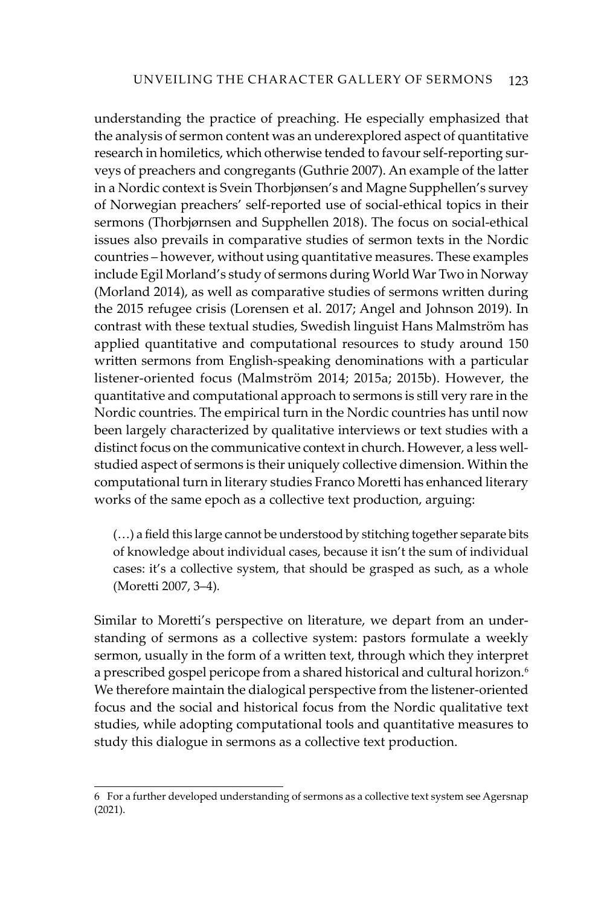understanding the practice of preaching. He especially emphasized that the analysis of sermon content was an underexplored aspect of quantitative research in homiletics, which otherwise tended to favour self-reporting surveys of preachers and congregants (Guthrie 2007). An example of the latter in a Nordic context is Svein Thorbjønsen's and Magne Supphellen's survey of Norwegian preachers' self-reported use of social-ethical topics in their sermons (Thorbjørnsen and Supphellen 2018). The focus on social-ethical issues also prevails in comparative studies of sermon texts in the Nordic countries – however, without using quantitative measures. These examples include Egil Morland's study of sermons during World War Two in Norway (Morland 2014), as well as comparative studies of sermons written during the 2015 refugee crisis (Lorensen et al. 2017; Angel and Johnson 2019). In contrast with these textual studies, Swedish linguist Hans Malmström has applied quantitative and computational resources to study around 150 written sermons from English-speaking denominations with a particular listener-oriented focus (Malmström 2014; 2015a; 2015b). However, the quantitative and computational approach to sermons is still very rare in the Nordic countries. The empirical turn in the Nordic countries has until now been largely characterized by qualitative interviews or text studies with a distinct focus on the communicative context in church. However, a less wellstudied aspect of sermons is their uniquely collective dimension. Within the computational turn in literary studies Franco Moretti has enhanced literary works of the same epoch as a collective text production, arguing:

(…) a field this large cannot be understood by stitching together separate bits of knowledge about individual cases, because it isn't the sum of individual cases: it's a collective system, that should be grasped as such, as a whole (Moretti 2007, 3–4)*.*

Similar to Moretti's perspective on literature, we depart from an understanding of sermons as a collective system: pastors formulate a weekly sermon, usually in the form of a written text, through which they interpret a prescribed gospel pericope from a shared historical and cultural horizon.<sup>6</sup> We therefore maintain the dialogical perspective from the listener-oriented focus and the social and historical focus from the Nordic qualitative text studies, while adopting computational tools and quantitative measures to study this dialogue in sermons as a collective text production.

<sup>6</sup> For a further developed understanding of sermons as a collective text system see Agersnap (2021).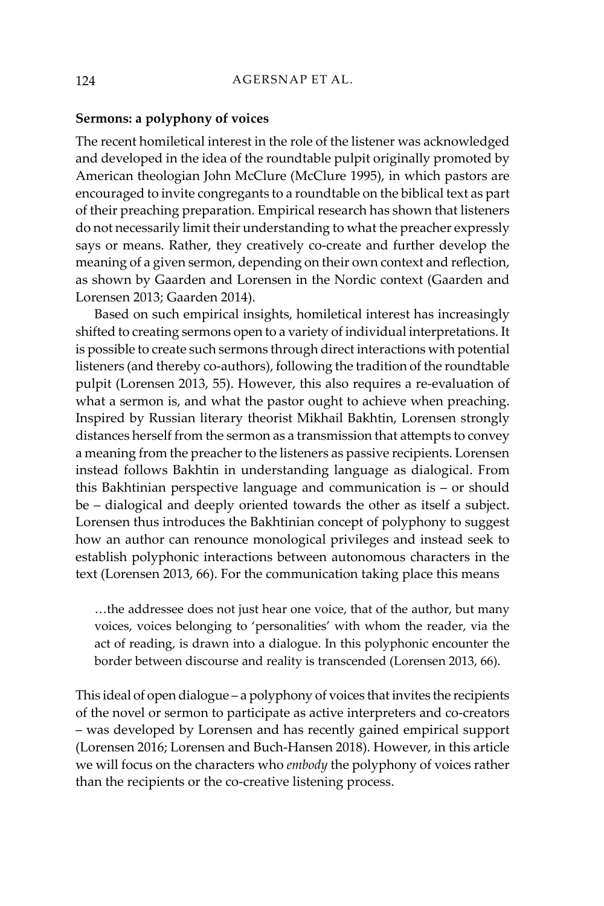#### **Sermons: a polyphony of voices**

The recent homiletical interest in the role of the listener was acknowledged and developed in the idea of the roundtable pulpit originally promoted by American theologian John McClure (McClure 1995), in which pastors are encouraged to invite congregants to a roundtable on the biblical text as part of their preaching preparation. Empirical research has shown that listeners do not necessarily limit their understanding to what the preacher expressly says or means. Rather, they creatively co-create and further develop the meaning of a given sermon, depending on their own context and reflection, as shown by Gaarden and Lorensen in the Nordic context (Gaarden and Lorensen 2013; Gaarden 2014).

Based on such empirical insights, homiletical interest has increasingly shifted to creating sermons open to a variety of individual interpretations. It is possible to create such sermons through direct interactions with potential listeners (and thereby co-authors), following the tradition of the roundtable pulpit (Lorensen 2013, 55). However, this also requires a re-evaluation of what a sermon is, and what the pastor ought to achieve when preaching. Inspired by Russian literary theorist Mikhail Bakhtin, Lorensen strongly distances herself from the sermon as a transmission that attempts to convey a meaning from the preacher to the listeners as passive recipients. Lorensen instead follows Bakhtin in understanding language as dialogical. From this Bakhtinian perspective language and communication is – or should be – dialogical and deeply oriented towards the other as itself a subject. Lorensen thus introduces the Bakhtinian concept of polyphony to suggest how an author can renounce monological privileges and instead seek to establish polyphonic interactions between autonomous characters in the text (Lorensen 2013, 66). For the communication taking place this means

…the addressee does not just hear one voice, that of the author, but many voices, voices belonging to 'personalities' with whom the reader, via the act of reading, is drawn into a dialogue. In this polyphonic encounter the border between discourse and reality is transcended (Lorensen 2013, 66).

This ideal of open dialogue – a polyphony of voices that invites the recipients of the novel or sermon to participate as active interpreters and co-creators – was developed by Lorensen and has recently gained empirical support (Lorensen 2016; Lorensen and Buch-Hansen 2018). However, in this article we will focus on the characters who *embody* the polyphony of voices rather than the recipients or the co-creative listening process.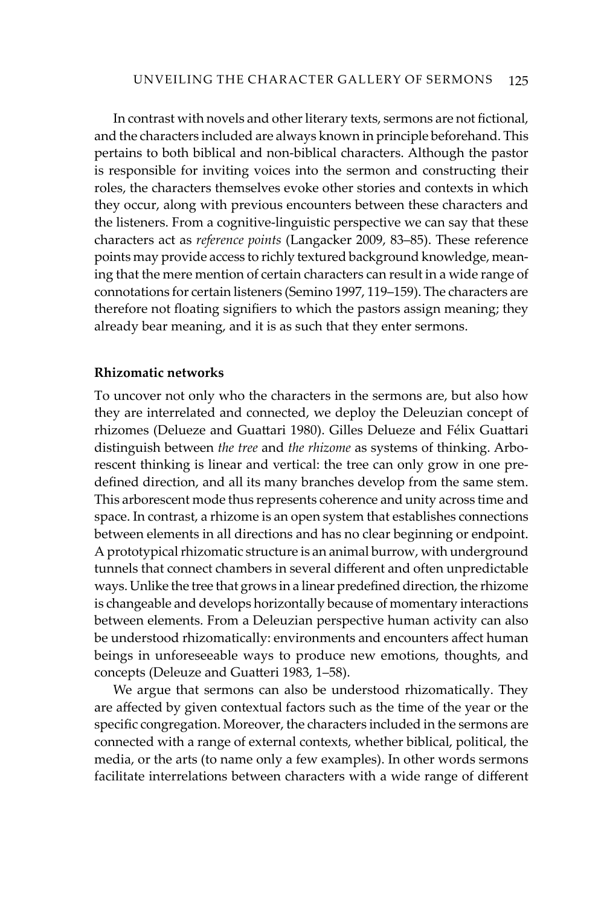In contrast with novels and other literary texts, sermons are not fictional, and the characters included are always known in principle beforehand. This pertains to both biblical and non-biblical characters. Although the pastor is responsible for inviting voices into the sermon and constructing their roles, the characters themselves evoke other stories and contexts in which they occur, along with previous encounters between these characters and the listeners. From a cognitive-linguistic perspective we can say that these characters act as *reference points* (Langacker 2009, 83–85). These reference points may provide access to richly textured background knowledge, meaning that the mere mention of certain characters can result in a wide range of connotations for certain listeners (Semino 1997, 119–159). The characters are therefore not floating signifiers to which the pastors assign meaning; they already bear meaning, and it is as such that they enter sermons.

# **Rhizomatic networks**

To uncover not only who the characters in the sermons are, but also how they are interrelated and connected, we deploy the Deleuzian concept of rhizomes (Delueze and Guattari 1980). Gilles Delueze and Félix Guattari distinguish between *the tree* and *the rhizome* as systems of thinking. Arborescent thinking is linear and vertical: the tree can only grow in one predefined direction, and all its many branches develop from the same stem. This arborescent mode thus represents coherence and unity across time and space. In contrast, a rhizome is an open system that establishes connections between elements in all directions and has no clear beginning or endpoint. A prototypical rhizomatic structure is an animal burrow, with underground tunnels that connect chambers in several different and often unpredictable ways. Unlike the tree that grows in a linear predefined direction, the rhizome is changeable and develops horizontally because of momentary interactions between elements. From a Deleuzian perspective human activity can also be understood rhizomatically: environments and encounters affect human beings in unforeseeable ways to produce new emotions, thoughts, and concepts (Deleuze and Guatteri 1983, 1–58).

We argue that sermons can also be understood rhizomatically. They are affected by given contextual factors such as the time of the year or the specific congregation. Moreover, the characters included in the sermons are connected with a range of external contexts, whether biblical, political, the media, or the arts (to name only a few examples). In other words sermons facilitate interrelations between characters with a wide range of different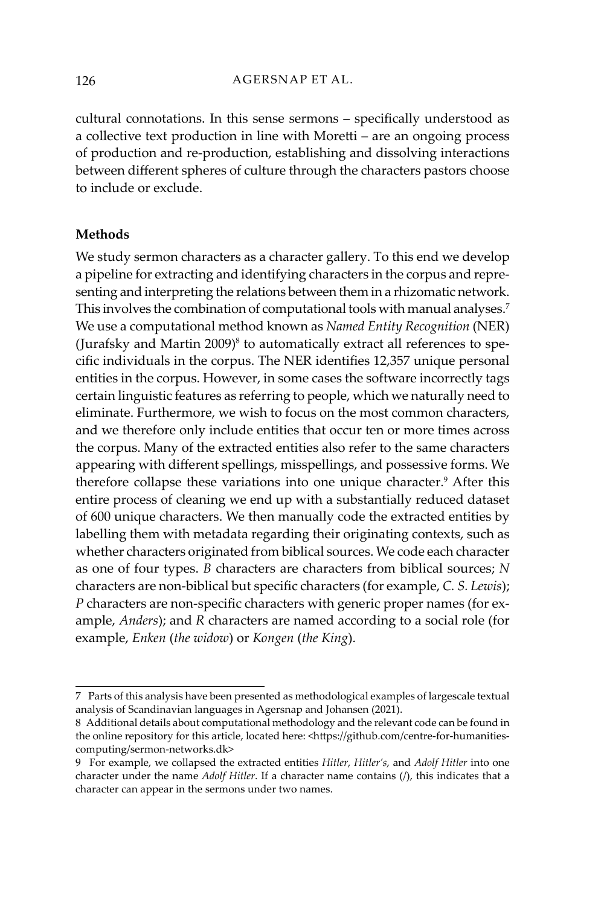cultural connotations. In this sense sermons – specifically understood as a collective text production in line with Moretti – are an ongoing process of production and re-production, establishing and dissolving interactions between different spheres of culture through the characters pastors choose to include or exclude.

#### **Methods**

We study sermon characters as a character gallery. To this end we develop a pipeline for extracting and identifying characters in the corpus and representing and interpreting the relations between them in a rhizomatic network. This involves the combination of computational tools with manual analyses.<sup>7</sup> We use a computational method known as *Named Entity Recognition* (NER) (Jurafsky and Martin 2009) $^8$  to automatically extract all references to specific individuals in the corpus. The NER identifies 12,357 unique personal entities in the corpus. However, in some cases the software incorrectly tags certain linguistic features as referring to people, which we naturally need to eliminate. Furthermore, we wish to focus on the most common characters, and we therefore only include entities that occur ten or more times across the corpus. Many of the extracted entities also refer to the same characters appearing with different spellings, misspellings, and possessive forms. We therefore collapse these variations into one unique character.<sup>9</sup> After this entire process of cleaning we end up with a substantially reduced dataset of 600 unique characters. We then manually code the extracted entities by labelling them with metadata regarding their originating contexts, such as whether characters originated from biblical sources. We code each character as one of four types. *B* characters are characters from biblical sources; *N* characters are non-biblical but specific characters (for example, *C. S. Lewis*); *P* characters are non-specific characters with generic proper names (for example, *Anders*); and *R* characters are named according to a social role (for example, *Enken* (*the widow*) or *Kongen* (*the King*).

<sup>7</sup> Parts of this analysis have been presented as methodological examples of largescale textual analysis of Scandinavian languages in Agersnap and Johansen (2021).

<sup>8</sup> Additional details about computational methodology and the relevant code can be found in the online repository for this article, located here: <https://github.com/centre-for-humanitiescomputing/sermon-networks.dk>

<sup>9</sup> For example, we collapsed the extracted entities *Hitler*, *Hitler's*, and *Adolf Hitler* into one character under the name *Adolf Hitler*. If a character name contains (/), this indicates that a character can appear in the sermons under two names.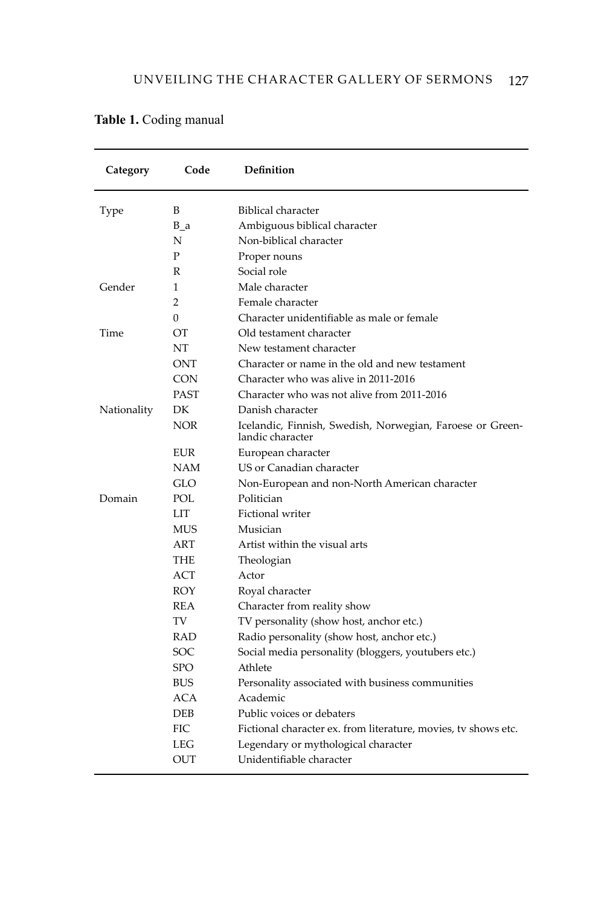| Category    | Code           | Definition                                                                    |
|-------------|----------------|-------------------------------------------------------------------------------|
| Type        | B              | Biblical character                                                            |
|             | $B_a$          | Ambiguous biblical character                                                  |
|             | N              | Non-biblical character                                                        |
|             | P              | Proper nouns                                                                  |
|             | R              | Social role                                                                   |
| Gender      | 1              | Male character                                                                |
|             | $\overline{2}$ | Female character                                                              |
|             | $\theta$       | Character unidentifiable as male or female                                    |
| Time        | <b>OT</b>      | Old testament character                                                       |
|             | NT             | New testament character                                                       |
|             | ONT            | Character or name in the old and new testament                                |
|             | <b>CON</b>     | Character who was alive in 2011-2016                                          |
|             | <b>PAST</b>    | Character who was not alive from 2011-2016                                    |
| Nationality | DK             | Danish character                                                              |
|             | <b>NOR</b>     | Icelandic, Finnish, Swedish, Norwegian, Faroese or Green-<br>landic character |
|             | <b>EUR</b>     | European character                                                            |
|             | <b>NAM</b>     | US or Canadian character                                                      |
|             | GLO            | Non-European and non-North American character                                 |
| Domain      | POL            | Politician                                                                    |
|             | LIT            | Fictional writer                                                              |
|             | <b>MUS</b>     | Musician                                                                      |
|             | ART            | Artist within the visual arts                                                 |
|             | THE            | Theologian                                                                    |
|             | ACT            | Actor                                                                         |
|             | ROY            | Royal character                                                               |
|             | REA            | Character from reality show                                                   |
|             | TV             | TV personality (show host, anchor etc.)                                       |
|             | RAD            | Radio personality (show host, anchor etc.)                                    |
|             | SOC            | Social media personality (bloggers, youtubers etc.)                           |
|             | <b>SPO</b>     | Athlete                                                                       |
|             | <b>BUS</b>     | Personality associated with business communities                              |
|             | ACA            | Academic                                                                      |
|             | <b>DEB</b>     | Public voices or debaters                                                     |
|             | <b>FIC</b>     | Fictional character ex. from literature, movies, tv shows etc.                |
|             | <b>LEG</b>     | Legendary or mythological character                                           |
|             | <b>OUT</b>     | Unidentifiable character                                                      |

Table 1. Coding manual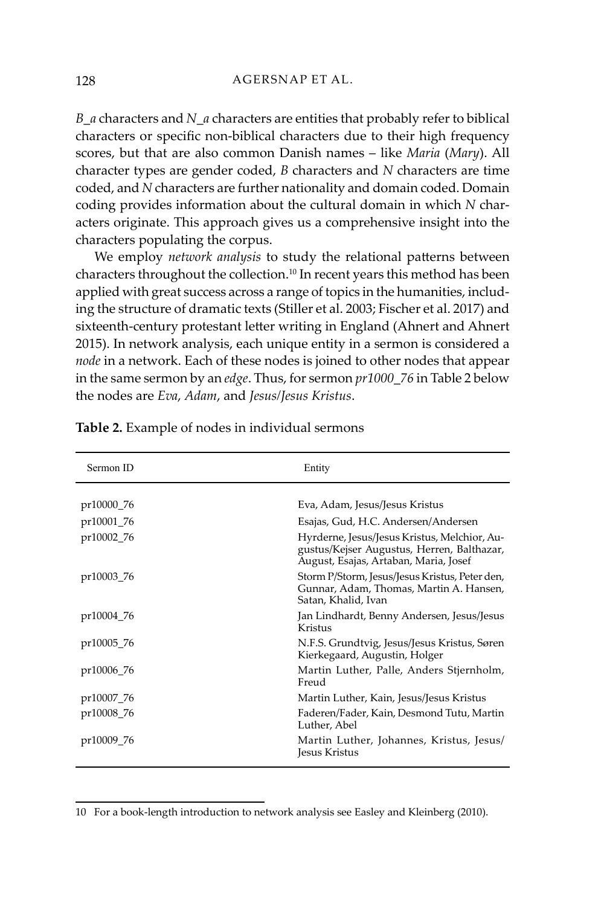*B\_a* characters and *N\_a* characters are entities that probably refer to biblical characters or specific non-biblical characters due to their high frequency scores, but that are also common Danish names – like *Maria* (*Mary*). All character types are gender coded, *B* characters and *N* characters are time coded, and *N* characters are further nationality and domain coded. Domain coding provides information about the cultural domain in which *N* characters originate. This approach gives us a comprehensive insight into the characters populating the corpus.

We employ *network analysis* to study the relational patterns between characters throughout the collection.<sup>10</sup> In recent years this method has been applied with great success across a range of topics in the humanities, including the structure of dramatic texts (Stiller et al. 2003; Fischer et al. 2017) and sixteenth-century protestant letter writing in England (Ahnert and Ahnert 2015). In network analysis, each unique entity in a sermon is considered a *node* in a network. Each of these nodes is joined to other nodes that appear in the same sermon by an *edge*. Thus, for sermon *pr1000\_76* in Table 2 below the nodes are *Eva*, *Adam*, and *Jesus/Jesus Kristus*.

| Sermon ID  | Entity                                                                                                                              |
|------------|-------------------------------------------------------------------------------------------------------------------------------------|
|            |                                                                                                                                     |
| pr10000_76 | Eva, Adam, Jesus/Jesus Kristus                                                                                                      |
| pr10001 76 | Esajas, Gud, H.C. Andersen/Andersen                                                                                                 |
| pr10002_76 | Hyrderne, Jesus/Jesus Kristus, Melchior, Au-<br>gustus/Kejser Augustus, Herren, Balthazar,<br>August, Esajas, Artaban, Maria, Josef |
| pr10003 76 | Storm P/Storm, Jesus/Jesus Kristus, Peter den,<br>Gunnar, Adam, Thomas, Martin A. Hansen,<br>Satan, Khalid, Ivan                    |
| pr10004_76 | Jan Lindhardt, Benny Andersen, Jesus/Jesus<br>Kristus                                                                               |
| pr10005_76 | N.F.S. Grundtvig, Jesus/Jesus Kristus, Søren<br>Kierkegaard, Augustin, Holger                                                       |
| pr10006_76 | Martin Luther, Palle, Anders Stjernholm,<br>Freud                                                                                   |
| pr10007 76 | Martin Luther, Kain, Jesus/Jesus Kristus                                                                                            |
| pr10008 76 | Faderen/Fader, Kain, Desmond Tutu, Martin<br>Luther, Abel                                                                           |
| pr10009 76 | Martin Luther, Johannes, Kristus, Jesus/<br>Jesus Kristus                                                                           |

**Table 2.** Example of nodes in individual sermons

<sup>10</sup> For a book-length introduction to network analysis see Easley and Kleinberg (2010).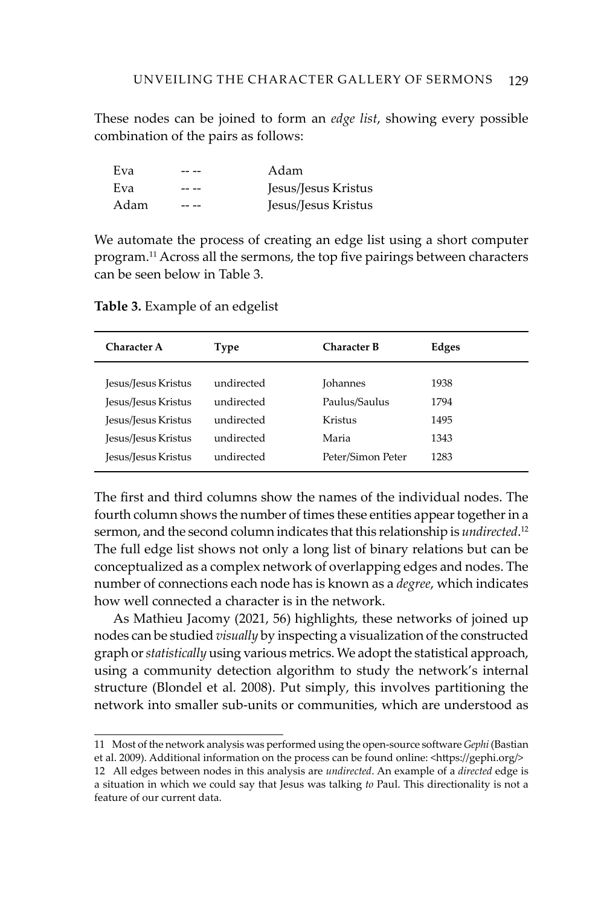These nodes can be joined to form an *edge list*, showing every possible combination of the pairs as follows:

| Eva  | Adam                |
|------|---------------------|
| Eva  | Jesus/Jesus Kristus |
| Adam | Jesus/Jesus Kristus |

We automate the process of creating an edge list using a short computer program.<sup>11</sup> Across all the sermons, the top five pairings between characters can be seen below in Table 3.

**Table 3.** Example of an edgelist

| <b>Character A</b>  | <b>Character B</b><br>Type |                   | Edges |
|---------------------|----------------------------|-------------------|-------|
|                     |                            |                   |       |
| Jesus/Jesus Kristus | undirected                 | <b>Iohannes</b>   | 1938  |
| Jesus/Jesus Kristus | undirected                 | Paulus/Saulus     | 1794  |
| Jesus/Jesus Kristus | undirected                 | Kristus           | 1495  |
| Jesus/Jesus Kristus | undirected                 | Maria             | 1343  |
| Jesus/Jesus Kristus | undirected                 | Peter/Simon Peter | 1283  |
|                     |                            |                   |       |

The first and third columns show the names of the individual nodes. The fourth column shows the number of times these entities appear together in a sermon, and the second column indicates that this relationship is *undirected*. 12 The full edge list shows not only a long list of binary relations but can be conceptualized as a complex network of overlapping edges and nodes. The number of connections each node has is known as a *degree*, which indicates how well connected a character is in the network.

As Mathieu Jacomy (2021, 56) highlights, these networks of joined up nodes can be studied *visually* by inspecting a visualization of the constructed graph or *statistically* using various metrics. We adopt the statistical approach, using a community detection algorithm to study the network's internal structure (Blondel et al. 2008). Put simply, this involves partitioning the network into smaller sub-units or communities, which are understood as

11 Most of the network analysis was performed using the open-source software *Gephi* (Bastian et al. 2009). Additional information on the process can be found online: <https://gephi.org/> 12 All edges between nodes in this analysis are *undirected*. An example of a *directed* edge is

a situation in which we could say that Jesus was talking *to* Paul. This directionality is not a feature of our current data.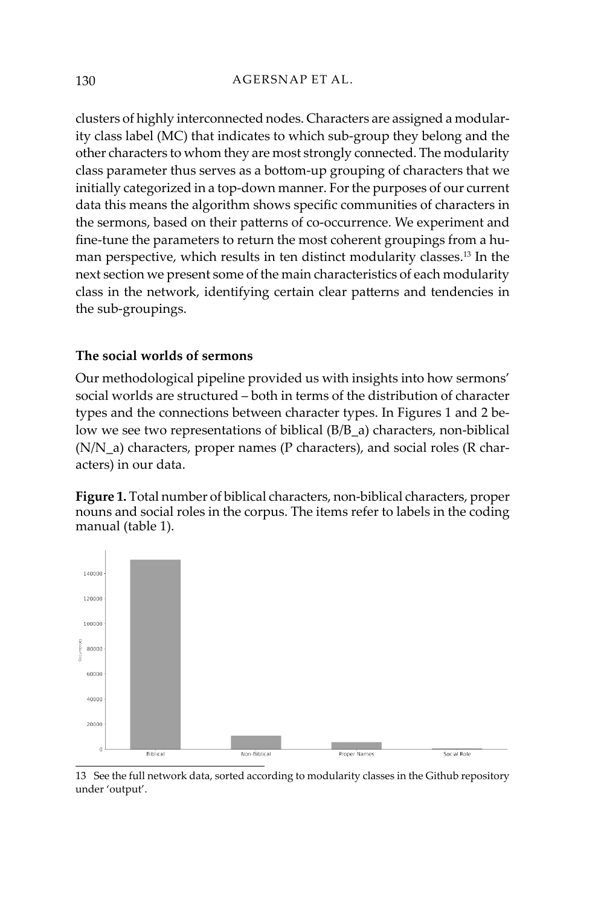clusters of highly interconnected nodes. Characters are assigned a modularity class label (MC) that indicates to which sub-group they belong and the other characters to whom they are most strongly connected. The modularity class parameter thus serves as a bottom-up grouping of characters that we initially categorized in a top-down manner. For the purposes of our current data this means the algorithm shows specific communities of characters in the sermons, based on their patterns of co-occurrence. We experiment and fine-tune the parameters to return the most coherent groupings from a human perspective, which results in ten distinct modularity classes.13 In the next section we present some of the main characteristics of each modularity class in the network, identifying certain clear patterns and tendencies in the sub-groupings.

# **The social worlds of sermons**

Our methodological pipeline provided us with insights into how sermons' social worlds are structured – both in terms of the distribution of character types and the connections between character types. In Figures 1 and 2 below we see two representations of biblical (B/B\_a) characters, non-biblical (N/N\_a) characters, proper names (P characters), and social roles (R characters) in our data.

**Figure 1.** Total number of biblical characters, non-biblical characters, proper nouns and social roles in the corpus. The items refer to labels in the coding manual (table 1).



13 See the full network data, sorted according to modularity classes in the Github repository under 'output'.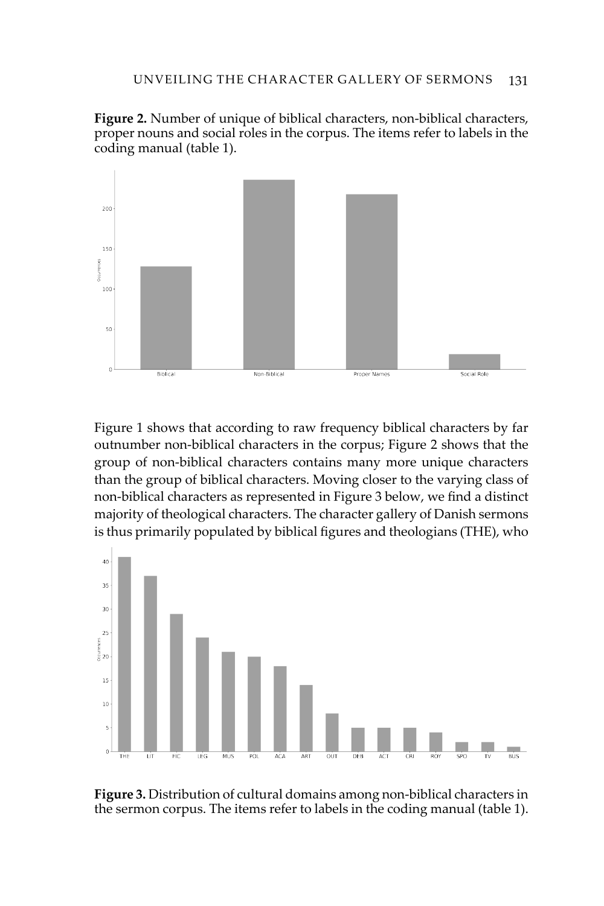**Figure 2.** Number of unique of biblical characters, non-biblical characters, proper nouns and social roles in the corpus. The items refer to labels in the coding manual (table 1).



Figure 1 shows that according to raw frequency biblical characters by far outnumber non-biblical characters in the corpus; Figure 2 shows that the group of non-biblical characters contains many more unique characters than the group of biblical characters. Moving closer to the varying class of non-biblical characters as represented in Figure 3 below, we find a distinct majority of theological characters. The character gallery of Danish sermons is thus primarily populated by biblical figures and theologians (THE), who



**Figure 3.** Distribution of cultural domains among non-biblical characters in the sermon corpus. The items refer to labels in the coding manual (table 1).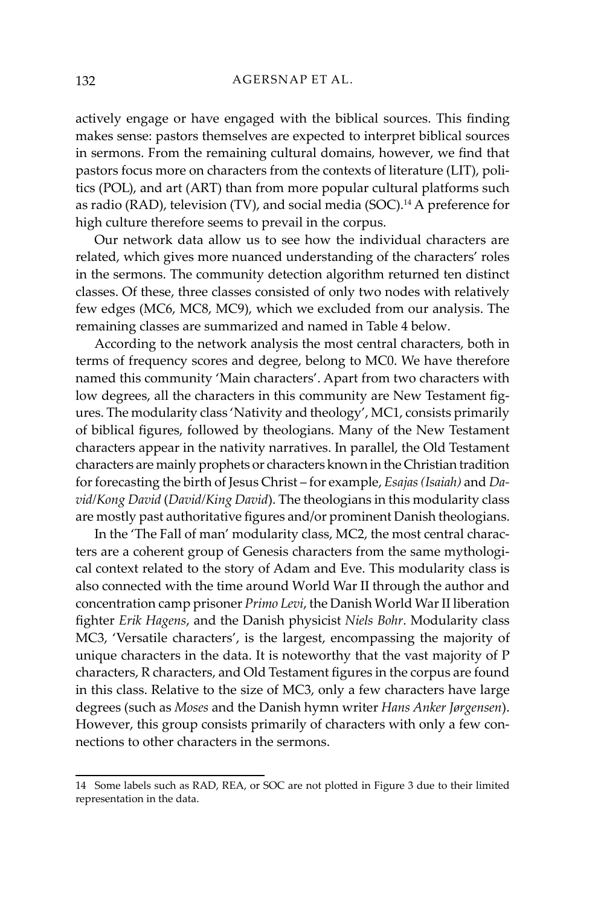actively engage or have engaged with the biblical sources. This finding makes sense: pastors themselves are expected to interpret biblical sources in sermons. From the remaining cultural domains, however, we find that pastors focus more on characters from the contexts of literature (LIT), politics (POL), and art (ART) than from more popular cultural platforms such as radio (RAD), television (TV), and social media (SOC).14 A preference for high culture therefore seems to prevail in the corpus.

Our network data allow us to see how the individual characters are related, which gives more nuanced understanding of the characters' roles in the sermons. The community detection algorithm returned ten distinct classes. Of these, three classes consisted of only two nodes with relatively few edges (MC6, MC8, MC9), which we excluded from our analysis. The remaining classes are summarized and named in Table 4 below.

According to the network analysis the most central characters, both in terms of frequency scores and degree, belong to MC0. We have therefore named this community 'Main characters'. Apart from two characters with low degrees, all the characters in this community are New Testament figures. The modularity class 'Nativity and theology', MC1, consists primarily of biblical figures, followed by theologians. Many of the New Testament characters appear in the nativity narratives. In parallel, the Old Testament characters are mainly prophets or characters known in the Christian tradition for forecasting the birth of Jesus Christ – for example, *Esajas (Isaiah)* and *David/Kong David* (*David/King David*). The theologians in this modularity class are mostly past authoritative figures and/or prominent Danish theologians.

In the 'The Fall of man' modularity class, MC2, the most central characters are a coherent group of Genesis characters from the same mythological context related to the story of Adam and Eve. This modularity class is also connected with the time around World War II through the author and concentration camp prisoner *Primo Levi*, the Danish World War II liberation fighter *Erik Hagens*, and the Danish physicist *Niels Bohr*. Modularity class MC3, 'Versatile characters', is the largest, encompassing the majority of unique characters in the data. It is noteworthy that the vast majority of P characters, R characters, and Old Testament figures in the corpus are found in this class. Relative to the size of MC3, only a few characters have large degrees (such as *Moses* and the Danish hymn writer *Hans Anker Jørgensen*). However, this group consists primarily of characters with only a few connections to other characters in the sermons.

<sup>14</sup> Some labels such as RAD, REA, or SOC are not plotted in Figure 3 due to their limited representation in the data.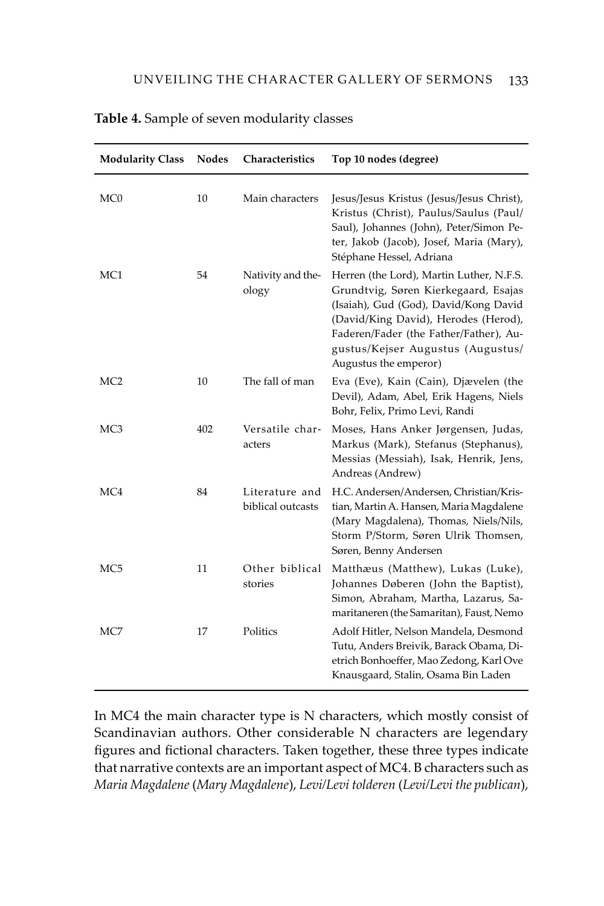| <b>Modularity Class</b> | <b>Nodes</b> | Characteristics                     | Top 10 nodes (degree)                                                                                                                                                                                                                                                     |
|-------------------------|--------------|-------------------------------------|---------------------------------------------------------------------------------------------------------------------------------------------------------------------------------------------------------------------------------------------------------------------------|
| MC0                     | 10           | Main characters                     | Jesus/Jesus Kristus (Jesus/Jesus Christ),<br>Kristus (Christ), Paulus/Saulus (Paul/<br>Saul), Johannes (John), Peter/Simon Pe-<br>ter, Jakob (Jacob), Josef, Maria (Mary),<br>Stéphane Hessel, Adriana                                                                    |
| MC1                     | 54           | Nativity and the-<br>ology          | Herren (the Lord), Martin Luther, N.F.S.<br>Grundtvig, Søren Kierkegaard, Esajas<br>(Isaiah), Gud (God), David/Kong David<br>(David/King David), Herodes (Herod),<br>Faderen/Fader (the Father/Father), Au-<br>gustus/Kejser Augustus (Augustus/<br>Augustus the emperor) |
| MC <sub>2</sub>         | 10           | The fall of man                     | Eva (Eve), Kain (Cain), Djævelen (the<br>Devil), Adam, Abel, Erik Hagens, Niels<br>Bohr, Felix, Primo Levi, Randi                                                                                                                                                         |
| MC3                     | 402          | Versatile char-<br>acters           | Moses, Hans Anker Jørgensen, Judas,<br>Markus (Mark), Stefanus (Stephanus),<br>Messias (Messiah), Isak, Henrik, Jens,<br>Andreas (Andrew)                                                                                                                                 |
| MC4                     | 84           | Literature and<br>biblical outcasts | H.C. Andersen/Andersen, Christian/Kris-<br>tian, Martin A. Hansen, Maria Magdalene<br>(Mary Magdalena), Thomas, Niels/Nils,<br>Storm P/Storm, Søren Ulrik Thomsen,<br>Søren, Benny Andersen                                                                               |
| MC5                     | 11           | Other biblical<br>stories           | Matthæus (Matthew), Lukas (Luke),<br>Johannes Døberen (John the Baptist),<br>Simon, Abraham, Martha, Lazarus, Sa-<br>maritaneren (the Samaritan), Faust, Nemo                                                                                                             |
| MC7                     | 17           | Politics                            | Adolf Hitler, Nelson Mandela, Desmond<br>Tutu, Anders Breivik, Barack Obama, Di-<br>etrich Bonhoeffer, Mao Zedong, Karl Ove<br>Knausgaard, Stalin, Osama Bin Laden                                                                                                        |

# **Table 4.** Sample of seven modularity classes

In MC4 the main character type is N characters, which mostly consist of Scandinavian authors. Other considerable N characters are legendary figures and fictional characters. Taken together, these three types indicate that narrative contexts are an important aspect of MC4. B characters such as *Maria Magdalene* (*Mary Magdalene*), *Levi/Levi tolderen* (*Levi/Levi the publican*),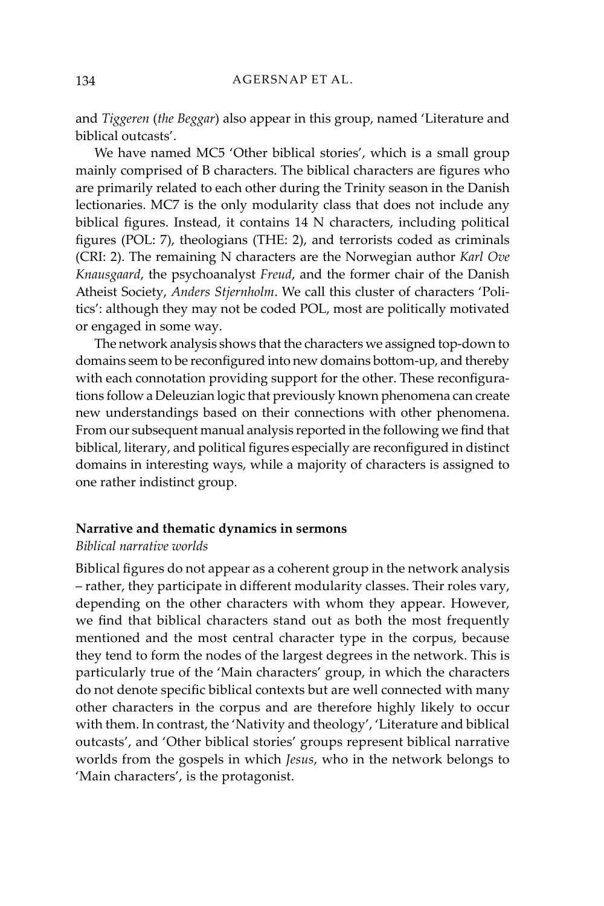and *Tiggeren* (*the Beggar*) also appear in this group, named 'Literature and biblical outcasts'.

We have named MC5 'Other biblical stories', which is a small group mainly comprised of B characters. The biblical characters are figures who are primarily related to each other during the Trinity season in the Danish lectionaries. MC7 is the only modularity class that does not include any biblical figures. Instead, it contains 14 N characters, including political figures (POL: 7), theologians (THE: 2), and terrorists coded as criminals (CRI: 2). The remaining N characters are the Norwegian author *Karl Ove Knausgaard*, the psychoanalyst *Freud*, and the former chair of the Danish Atheist Society, *Anders Stjernholm*. We call this cluster of characters 'Politics': although they may not be coded POL, most are politically motivated or engaged in some way.

The network analysis shows that the characters we assigned top-down to domains seem to be reconfigured into new domains bottom-up, and thereby with each connotation providing support for the other. These reconfigurations follow a Deleuzian logic that previously known phenomena can create new understandings based on their connections with other phenomena. From our subsequent manual analysis reported in the following we find that biblical, literary, and political figures especially are reconfigured in distinct domains in interesting ways, while a majority of characters is assigned to one rather indistinct group.

### **Narrative and thematic dynamics in sermons**

#### *Biblical narrative worlds*

Biblical figures do not appear as a coherent group in the network analysis – rather, they participate in different modularity classes. Their roles vary, depending on the other characters with whom they appear. However, we find that biblical characters stand out as both the most frequently mentioned and the most central character type in the corpus, because they tend to form the nodes of the largest degrees in the network. This is particularly true of the 'Main characters' group, in which the characters do not denote specific biblical contexts but are well connected with many other characters in the corpus and are therefore highly likely to occur with them. In contrast, the 'Nativity and theology', 'Literature and biblical outcasts', and 'Other biblical stories' groups represent biblical narrative worlds from the gospels in which *Jesus*, who in the network belongs to 'Main characters', is the protagonist.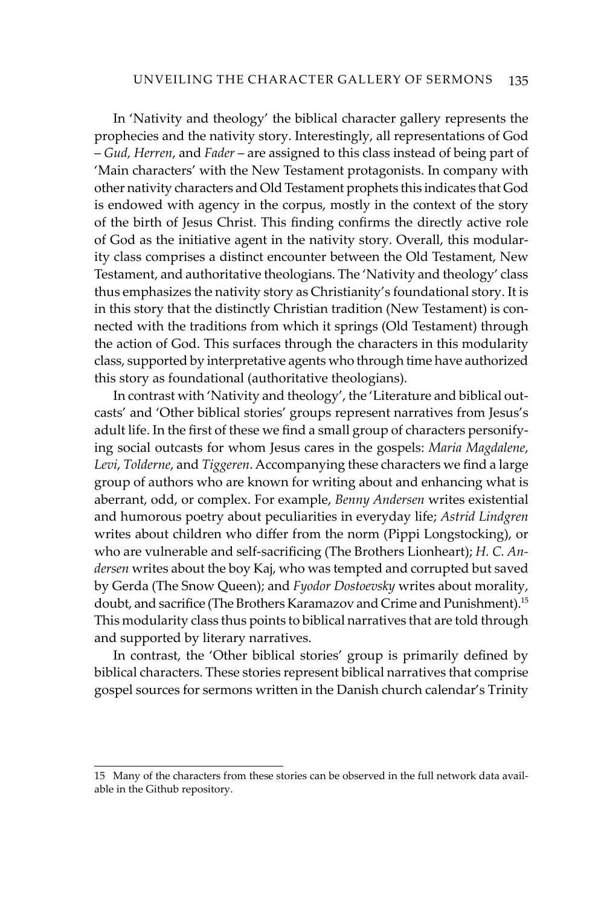In 'Nativity and theology' the biblical character gallery represents the prophecies and the nativity story. Interestingly, all representations of God – *Gud, Herren*, and *Fader* – are assigned to this class instead of being part of 'Main characters' with the New Testament protagonists. In company with other nativity characters and Old Testament prophets this indicates that God is endowed with agency in the corpus, mostly in the context of the story of the birth of Jesus Christ. This finding confirms the directly active role of God as the initiative agent in the nativity story. Overall, this modularity class comprises a distinct encounter between the Old Testament, New Testament, and authoritative theologians. The 'Nativity and theology' class thus emphasizes the nativity story as Christianity's foundational story. It is in this story that the distinctly Christian tradition (New Testament) is connected with the traditions from which it springs (Old Testament) through the action of God. This surfaces through the characters in this modularity class, supported by interpretative agents who through time have authorized this story as foundational (authoritative theologians).

In contrast with 'Nativity and theology', the 'Literature and biblical outcasts' and 'Other biblical stories' groups represent narratives from Jesus's adult life. In the first of these we find a small group of characters personifying social outcasts for whom Jesus cares in the gospels: *Maria Magdalene*, *Levi*, *Tolderne*, and *Tiggeren*. Accompanying these characters we find a large group of authors who are known for writing about and enhancing what is aberrant, odd, or complex. For example, *Benny Andersen* writes existential and humorous poetry about peculiarities in everyday life; *Astrid Lindgren* writes about children who differ from the norm (Pippi Longstocking), or who are vulnerable and self-sacrificing (The Brothers Lionheart); *H. C. Andersen* writes about the boy Kaj, who was tempted and corrupted but saved by Gerda (The Snow Queen); and *Fyodor Dostoevsky* writes about morality, doubt, and sacrifice (The Brothers Karamazov and Crime and Punishment).<sup>15</sup> This modularity class thus points to biblical narratives that are told through and supported by literary narratives.

In contrast, the 'Other biblical stories' group is primarily defined by biblical characters. These stories represent biblical narratives that comprise gospel sources for sermons written in the Danish church calendar's Trinity

<sup>15</sup> Many of the characters from these stories can be observed in the full network data available in the Github repository.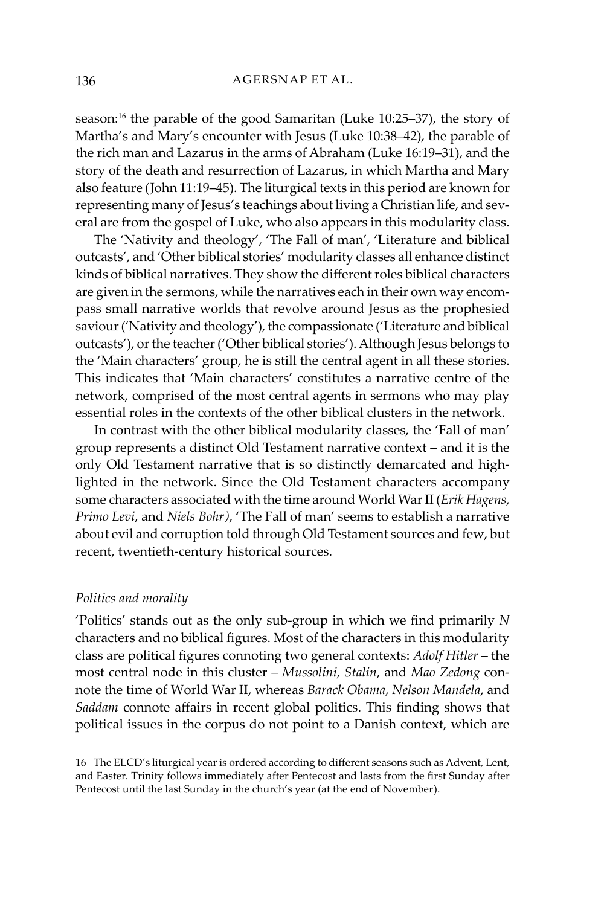season:16 the parable of the good Samaritan (Luke 10:25–37), the story of Martha's and Mary's encounter with Jesus (Luke 10:38–42), the parable of the rich man and Lazarus in the arms of Abraham (Luke 16:19–31), and the story of the death and resurrection of Lazarus, in which Martha and Mary also feature (John 11:19–45). The liturgical texts in this period are known for representing many of Jesus's teachings about living a Christian life, and several are from the gospel of Luke, who also appears in this modularity class.

The 'Nativity and theology', 'The Fall of man', 'Literature and biblical outcasts', and 'Other biblical stories' modularity classes all enhance distinct kinds of biblical narratives. They show the different roles biblical characters are given in the sermons, while the narratives each in their own way encompass small narrative worlds that revolve around Jesus as the prophesied saviour ('Nativity and theology'), the compassionate ('Literature and biblical outcasts'), or the teacher ('Other biblical stories'). Although Jesus belongs to the 'Main characters' group, he is still the central agent in all these stories. This indicates that 'Main characters' constitutes a narrative centre of the network, comprised of the most central agents in sermons who may play essential roles in the contexts of the other biblical clusters in the network.

In contrast with the other biblical modularity classes, the 'Fall of man' group represents a distinct Old Testament narrative context – and it is the only Old Testament narrative that is so distinctly demarcated and highlighted in the network. Since the Old Testament characters accompany some characters associated with the time around World War II (*Erik Hagens*, *Primo Levi*, and *Niels Bohr)*, 'The Fall of man' seems to establish a narrative about evil and corruption told through Old Testament sources and few, but recent, twentieth-century historical sources.

#### *Politics and morality*

'Politics' stands out as the only sub-group in which we find primarily *N* characters and no biblical figures. Most of the characters in this modularity class are political figures connoting two general contexts: *Adolf Hitler* – the most central node in this cluster – *Mussolini*, *Stalin*, and *Mao Zedong* connote the time of World War II, whereas *Barack Obama*, *Nelson Mandela*, and *Saddam* connote affairs in recent global politics. This finding shows that political issues in the corpus do not point to a Danish context, which are

<sup>16</sup> The ELCD's liturgical year is ordered according to different seasons such as Advent, Lent, and Easter. Trinity follows immediately after Pentecost and lasts from the first Sunday after Pentecost until the last Sunday in the church's year (at the end of November).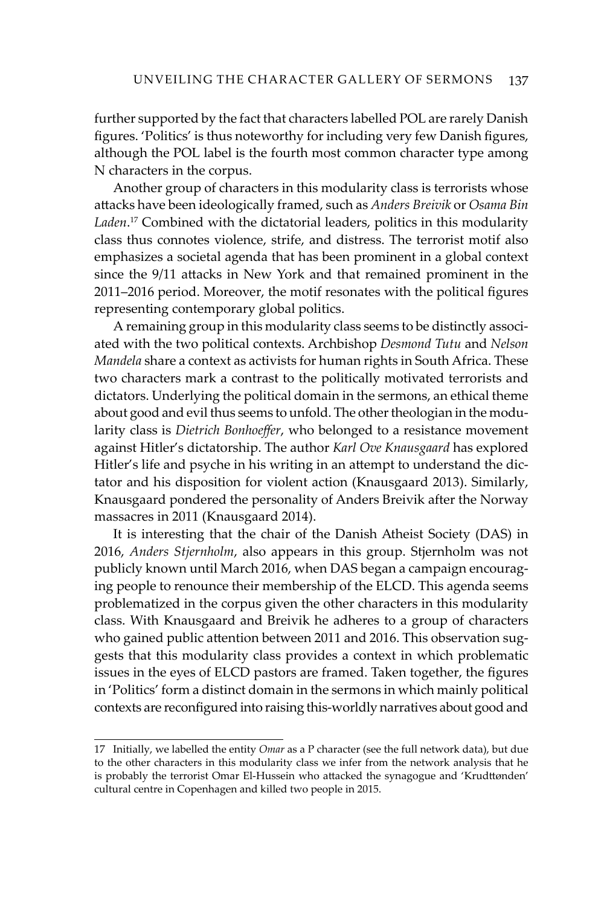further supported by the fact that characters labelled POL are rarely Danish figures. 'Politics' is thus noteworthy for including very few Danish figures, although the POL label is the fourth most common character type among N characters in the corpus.

Another group of characters in this modularity class is terrorists whose attacks have been ideologically framed, such as *Anders Breivik* or *Osama Bin Laden*. 17 Combined with the dictatorial leaders, politics in this modularity class thus connotes violence, strife, and distress. The terrorist motif also emphasizes a societal agenda that has been prominent in a global context since the 9/11 attacks in New York and that remained prominent in the 2011–2016 period. Moreover, the motif resonates with the political figures representing contemporary global politics.

A remaining group in this modularity class seems to be distinctly associated with the two political contexts. Archbishop *Desmond Tutu* and *Nelson Mandela* share a context as activists for human rights in South Africa. These two characters mark a contrast to the politically motivated terrorists and dictators. Underlying the political domain in the sermons, an ethical theme about good and evil thus seems to unfold. The other theologian in the modularity class is *Dietrich Bonhoeffer*, who belonged to a resistance movement against Hitler's dictatorship. The author *Karl Ove Knausgaard* has explored Hitler's life and psyche in his writing in an attempt to understand the dictator and his disposition for violent action (Knausgaard 2013). Similarly, Knausgaard pondered the personality of Anders Breivik after the Norway massacres in 2011 (Knausgaard 2014).

It is interesting that the chair of the Danish Atheist Society (DAS) in 2016, *Anders Stjernholm*, also appears in this group. Stjernholm was not publicly known until March 2016, when DAS began a campaign encouraging people to renounce their membership of the ELCD. This agenda seems problematized in the corpus given the other characters in this modularity class. With Knausgaard and Breivik he adheres to a group of characters who gained public attention between 2011 and 2016. This observation suggests that this modularity class provides a context in which problematic issues in the eyes of ELCD pastors are framed. Taken together, the figures in 'Politics' form a distinct domain in the sermons in which mainly political contexts are reconfigured into raising this-worldly narratives about good and

<sup>17</sup> Initially, we labelled the entity *Omar* as a P character (see the full network data), but due to the other characters in this modularity class we infer from the network analysis that he is probably the terrorist Omar El-Hussein who attacked the synagogue and 'Krudttønden' cultural centre in Copenhagen and killed two people in 2015.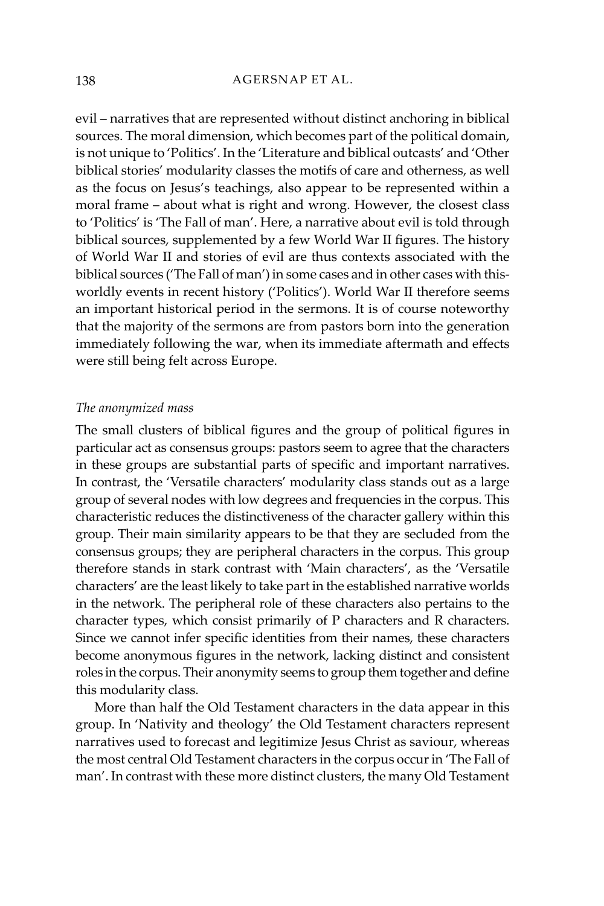evil – narratives that are represented without distinct anchoring in biblical sources. The moral dimension, which becomes part of the political domain, is not unique to 'Politics'. In the 'Literature and biblical outcasts' and 'Other biblical stories' modularity classes the motifs of care and otherness, as well as the focus on Jesus's teachings, also appear to be represented within a moral frame – about what is right and wrong. However, the closest class to 'Politics' is 'The Fall of man'. Here, a narrative about evil is told through biblical sources, supplemented by a few World War II figures. The history of World War II and stories of evil are thus contexts associated with the biblical sources ('The Fall of man') in some cases and in other cases with thisworldly events in recent history ('Politics'). World War II therefore seems an important historical period in the sermons. It is of course noteworthy that the majority of the sermons are from pastors born into the generation immediately following the war, when its immediate aftermath and effects were still being felt across Europe.

#### *The anonymized mass*

The small clusters of biblical figures and the group of political figures in particular act as consensus groups: pastors seem to agree that the characters in these groups are substantial parts of specific and important narratives. In contrast, the 'Versatile characters' modularity class stands out as a large group of several nodes with low degrees and frequencies in the corpus. This characteristic reduces the distinctiveness of the character gallery within this group. Their main similarity appears to be that they are secluded from the consensus groups; they are peripheral characters in the corpus. This group therefore stands in stark contrast with 'Main characters', as the 'Versatile characters' are the least likely to take part in the established narrative worlds in the network. The peripheral role of these characters also pertains to the character types, which consist primarily of P characters and R characters. Since we cannot infer specific identities from their names, these characters become anonymous figures in the network, lacking distinct and consistent roles in the corpus. Their anonymity seems to group them together and define this modularity class.

More than half the Old Testament characters in the data appear in this group. In 'Nativity and theology' the Old Testament characters represent narratives used to forecast and legitimize Jesus Christ as saviour, whereas the most central Old Testament characters in the corpus occur in 'The Fall of man'. In contrast with these more distinct clusters, the many Old Testament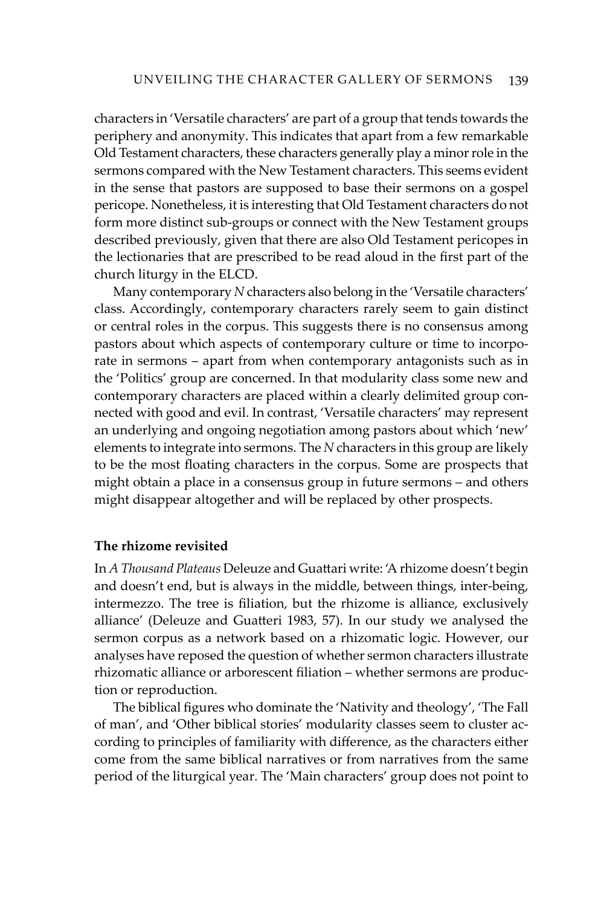characters in 'Versatile characters' are part of a group that tends towards the periphery and anonymity. This indicates that apart from a few remarkable Old Testament characters, these characters generally play a minor role in the sermons compared with the New Testament characters. This seems evident in the sense that pastors are supposed to base their sermons on a gospel pericope. Nonetheless, it is interesting that Old Testament characters do not form more distinct sub-groups or connect with the New Testament groups described previously, given that there are also Old Testament pericopes in the lectionaries that are prescribed to be read aloud in the first part of the church liturgy in the ELCD.

Many contemporary *N* characters also belong in the 'Versatile characters' class. Accordingly, contemporary characters rarely seem to gain distinct or central roles in the corpus. This suggests there is no consensus among pastors about which aspects of contemporary culture or time to incorporate in sermons – apart from when contemporary antagonists such as in the 'Politics' group are concerned. In that modularity class some new and contemporary characters are placed within a clearly delimited group connected with good and evil. In contrast, 'Versatile characters' may represent an underlying and ongoing negotiation among pastors about which 'new' elements to integrate into sermons. The *N* characters in this group are likely to be the most floating characters in the corpus. Some are prospects that might obtain a place in a consensus group in future sermons – and others might disappear altogether and will be replaced by other prospects.

#### **The rhizome revisited**

In *A Thousand Plateaus* Deleuze and Guattari write: 'A rhizome doesn't begin and doesn't end, but is always in the middle, between things, inter-being, intermezzo. The tree is filiation, but the rhizome is alliance, exclusively alliance' (Deleuze and Guatteri 1983, 57). In our study we analysed the sermon corpus as a network based on a rhizomatic logic. However, our analyses have reposed the question of whether sermon characters illustrate rhizomatic alliance or arborescent filiation – whether sermons are production or reproduction.

The biblical figures who dominate the 'Nativity and theology', 'The Fall of man', and 'Other biblical stories' modularity classes seem to cluster according to principles of familiarity with difference, as the characters either come from the same biblical narratives or from narratives from the same period of the liturgical year. The 'Main characters' group does not point to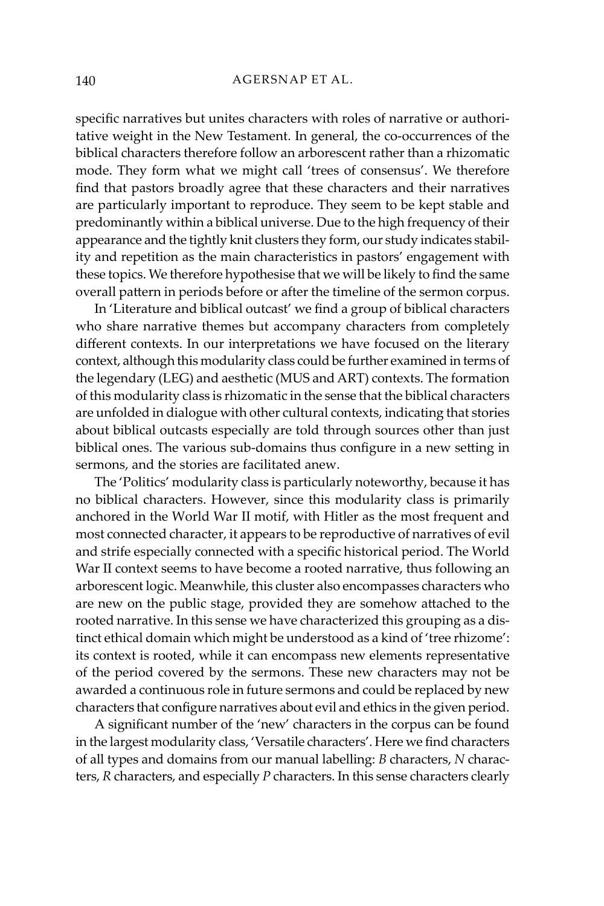specific narratives but unites characters with roles of narrative or authoritative weight in the New Testament. In general, the co-occurrences of the biblical characters therefore follow an arborescent rather than a rhizomatic mode. They form what we might call 'trees of consensus'. We therefore find that pastors broadly agree that these characters and their narratives are particularly important to reproduce. They seem to be kept stable and predominantly within a biblical universe. Due to the high frequency of their appearance and the tightly knit clusters they form, our study indicates stability and repetition as the main characteristics in pastors' engagement with these topics. We therefore hypothesise that we will be likely to find the same overall pattern in periods before or after the timeline of the sermon corpus.

In 'Literature and biblical outcast' we find a group of biblical characters who share narrative themes but accompany characters from completely different contexts. In our interpretations we have focused on the literary context, although this modularity class could be further examined in terms of the legendary (LEG) and aesthetic (MUS and ART) contexts. The formation of this modularity class is rhizomatic in the sense that the biblical characters are unfolded in dialogue with other cultural contexts, indicating that stories about biblical outcasts especially are told through sources other than just biblical ones. The various sub-domains thus configure in a new setting in sermons, and the stories are facilitated anew.

The 'Politics' modularity class is particularly noteworthy, because it has no biblical characters. However, since this modularity class is primarily anchored in the World War II motif, with Hitler as the most frequent and most connected character, it appears to be reproductive of narratives of evil and strife especially connected with a specific historical period. The World War II context seems to have become a rooted narrative, thus following an arborescent logic. Meanwhile, this cluster also encompasses characters who are new on the public stage, provided they are somehow attached to the rooted narrative. In this sense we have characterized this grouping as a distinct ethical domain which might be understood as a kind of 'tree rhizome': its context is rooted, while it can encompass new elements representative of the period covered by the sermons. These new characters may not be awarded a continuous role in future sermons and could be replaced by new characters that configure narratives about evil and ethics in the given period.

A significant number of the 'new' characters in the corpus can be found in the largest modularity class, 'Versatile characters'. Here we find characters of all types and domains from our manual labelling: *B* characters, *N* characters, *R* characters, and especially *P* characters. In this sense characters clearly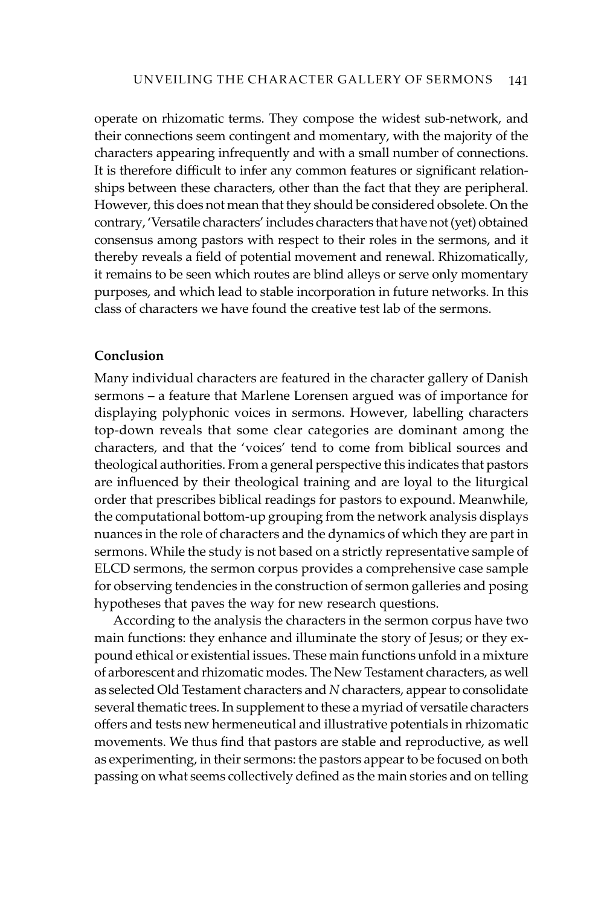operate on rhizomatic terms. They compose the widest sub-network, and their connections seem contingent and momentary, with the majority of the characters appearing infrequently and with a small number of connections. It is therefore difficult to infer any common features or significant relationships between these characters, other than the fact that they are peripheral. However, this does not mean that they should be considered obsolete. On the contrary, 'Versatile characters' includes characters that have not (yet) obtained consensus among pastors with respect to their roles in the sermons, and it thereby reveals a field of potential movement and renewal. Rhizomatically, it remains to be seen which routes are blind alleys or serve only momentary purposes, and which lead to stable incorporation in future networks. In this class of characters we have found the creative test lab of the sermons.

#### **Conclusion**

Many individual characters are featured in the character gallery of Danish sermons – a feature that Marlene Lorensen argued was of importance for displaying polyphonic voices in sermons. However, labelling characters top-down reveals that some clear categories are dominant among the characters, and that the 'voices' tend to come from biblical sources and theological authorities. From a general perspective this indicates that pastors are influenced by their theological training and are loyal to the liturgical order that prescribes biblical readings for pastors to expound. Meanwhile, the computational bottom-up grouping from the network analysis displays nuances in the role of characters and the dynamics of which they are part in sermons. While the study is not based on a strictly representative sample of ELCD sermons, the sermon corpus provides a comprehensive case sample for observing tendencies in the construction of sermon galleries and posing hypotheses that paves the way for new research questions.

According to the analysis the characters in the sermon corpus have two main functions: they enhance and illuminate the story of Jesus; or they expound ethical or existential issues. These main functions unfold in a mixture of arborescent and rhizomatic modes. The New Testament characters, as well as selected Old Testament characters and *N* characters, appear to consolidate several thematic trees. In supplement to these a myriad of versatile characters offers and tests new hermeneutical and illustrative potentials in rhizomatic movements. We thus find that pastors are stable and reproductive, as well as experimenting, in their sermons: the pastors appear to be focused on both passing on what seems collectively defined as the main stories and on telling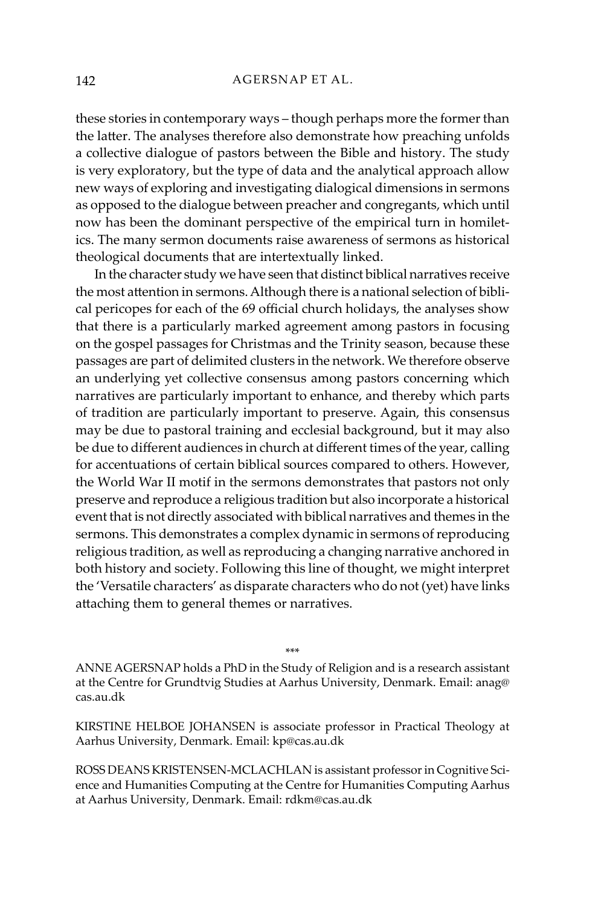these stories in contemporary ways – though perhaps more the former than the latter. The analyses therefore also demonstrate how preaching unfolds a collective dialogue of pastors between the Bible and history. The study is very exploratory, but the type of data and the analytical approach allow new ways of exploring and investigating dialogical dimensions in sermons as opposed to the dialogue between preacher and congregants, which until now has been the dominant perspective of the empirical turn in homiletics. The many sermon documents raise awareness of sermons as historical theological documents that are intertextually linked.

In the character study we have seen that distinct biblical narratives receive the most attention in sermons. Although there is a national selection of biblical pericopes for each of the 69 official church holidays, the analyses show that there is a particularly marked agreement among pastors in focusing on the gospel passages for Christmas and the Trinity season, because these passages are part of delimited clusters in the network. We therefore observe an underlying yet collective consensus among pastors concerning which narratives are particularly important to enhance, and thereby which parts of tradition are particularly important to preserve. Again, this consensus may be due to pastoral training and ecclesial background, but it may also be due to different audiences in church at different times of the year, calling for accentuations of certain biblical sources compared to others. However, the World War II motif in the sermons demonstrates that pastors not only preserve and reproduce a religious tradition but also incorporate a historical event that is not directly associated with biblical narratives and themes in the sermons. This demonstrates a complex dynamic in sermons of reproducing religious tradition, as well as reproducing a changing narrative anchored in both history and society. Following this line of thought, we might interpret the 'Versatile characters' as disparate characters who do not (yet) have links attaching them to general themes or narratives.

\*\*\*

ANNE AGERSNAP holds a PhD in the Study of Religion and is a research assistant at the Centre for Grundtvig Studies at Aarhus University, Denmark. Email: anag@ cas.au.dk

KIRSTINE HELBOE JOHANSEN is associate professor in Practical Theology at Aarhus University, Denmark. Email: kp@cas.au.dk

ROSS DEANS KRISTENSEN-MCLACHLAN is assistant professor in Cognitive Science and Humanities Computing at the Centre for Humanities Computing Aarhus at Aarhus University, Denmark. Email: rdkm@cas.au.dk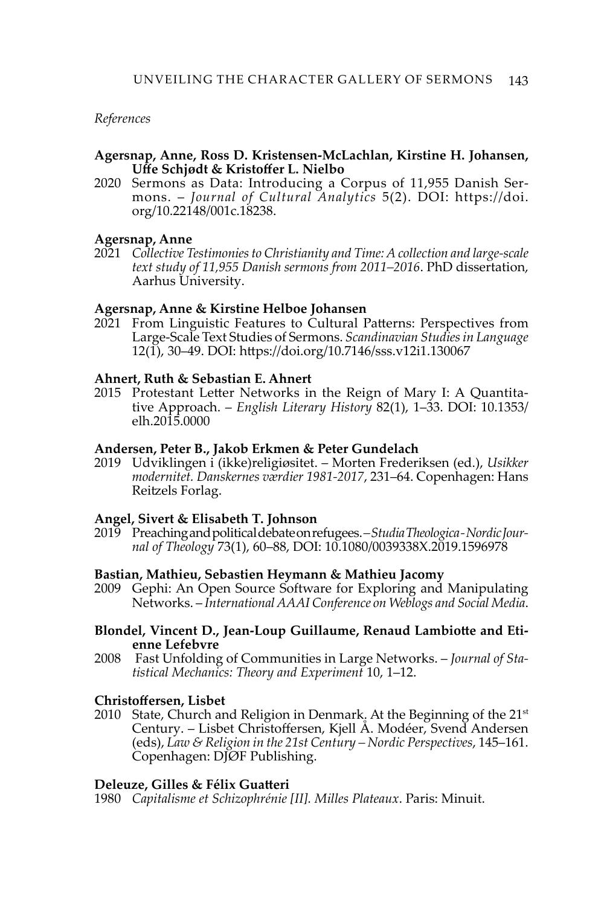### *References*

#### **Agersnap, Anne, Ross D. Kristensen-McLachlan, Kirstine H. Johansen, Uffe Schjødt & Kristoffer L. Nielbo**

2020 Sermons as Data: Introducing a Corpus of 11,955 Danish Sermons. – *Journal of Cultural Analytics* 5(2). DOI: [https://doi.](https://doi.org/10.22148/001c.18238) [org/10.22148/001c.18238](https://doi.org/10.22148/001c.18238).

#### **Agersnap, Anne**

2021 *Collective Testimonies to Christianity and Time: A collection and large-scale text study of 11,955 Danish sermons from 2011–2016*. PhD dissertation, Aarhus University.

#### **Agersnap, Anne & Kirstine Helboe Johansen**

2021 From Linguistic Features to Cultural Patterns: Perspectives from Large-Scale Text Studies of Sermons. *Scandinavian Studies in Language*  12(1), 30–49. DOI: https://doi.org/10.7146/sss.v12i1.130067

#### **Ahnert, Ruth & Sebastian E. Ahnert**

2015 Protestant Letter Networks in the Reign of Mary I: A Quantitative Approach. – *English Literary History* 82(1), 1–33. DOI: 10.1353/ elh.2015.0000

#### **Andersen, Peter B., Jakob Erkmen & Peter Gundelach**

2019 Udviklingen i (ikke)religiøsitet. – Morten Frederiksen (ed.), *Usikker modernitet. Danskernes værdier 1981-2017*, 231–64. Copenhagen: Hans Reitzels Forlag.

#### **Angel, Sivert & Elisabeth T. Johnson**

2019 Preaching and political debate on refugees. *– Studia Theologica - Nordic Journal of Theology* 73(1), 60–88, DOI: 10.1080/0039338X.2019.1596978

#### **Bastian, Mathieu, Sebastien Heymann & Mathieu Jacomy**

2009 Gephi: An Open Source Software for Exploring and Manipulating Networks. – *International AAAI Conference on Weblogs and Social Media*.

#### **Blondel, Vincent D., Jean-Loup Guillaume, Renaud Lambiotte and Etienne Lefebvre**

2008 Fast Unfolding of Communities in Large Networks. – *Journal of Statistical Mechanics: Theory and Experiment* 10, 1–12.

#### **Christoffersen, Lisbet**

2010 State, Church and Religion in Denmark. At the Beginning of the  $21<sup>st</sup>$ Century. – Lisbet Christoffersen, Kjell Å. Modéer, Svend Andersen (eds), *Law & Religion in the 21st Century – Nordic Perspectives*, 145–161. Copenhagen: DJØF Publishing.

#### **Deleuze, Gilles & Félix Guatteri**

1980 *Capitalisme et Schizophrénie [II]. Milles Plateaux*. Paris: Minuit.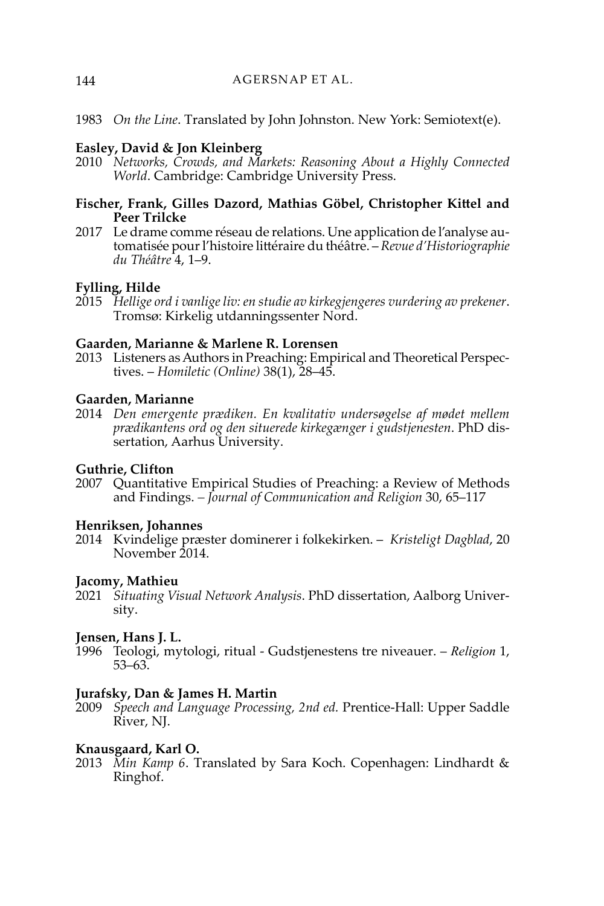1983 *On the Line*. Translated by John Johnston. New York: Semiotext(e).

# **Easley, David & Jon Kleinberg**

2010 *Networks, Crowds, and Markets: Reasoning About a Highly Connected World*. Cambridge: Cambridge University Press.

### **Fischer, Frank, Gilles Dazord, Mathias Göbel, Christopher Kittel and Peer Trilcke**

2017 Le drame comme réseau de relations. Une application de l'analyse automatisée pour l'histoire littéraire du théâtre. – *Revue d'Historiographie du Théâtre* 4, 1–9.

## **Fylling, Hilde**

2015 *Hellige ord i vanlige liv: en studie av kirkegjengeres vurdering av prekener*. Tromsø: Kirkelig utdanningssenter Nord.

#### **Gaarden, Marianne & Marlene R. Lorensen**

2013 Listeners as Authors in Preaching: Empirical and Theoretical Perspectives. – *Homiletic (Online)* 38(1), 28–45.

# **Gaarden, Marianne**

2014 *Den emergente prædiken. En kvalitativ undersøgelse af mødet mellem prædikantens ord og den situerede kirkegænger i gudstjenesten*. PhD dissertation, Aarhus University.

#### **Guthrie, Clifton**

2007 Quantitative Empirical Studies of Preaching: a Review of Methods and Findings. *– Journal of Communication and Religion* 30, 65–117

#### **Henriksen, Johannes**

2014 Kvindelige præster dominerer i folkekirken. – *Kristeligt Dagblad*, 20 November 2014.

#### **Jacomy, Mathieu**

2021 *Situating Visual Network Analysis*. PhD dissertation, Aalborg University.

#### **Jensen, Hans J. L.**

1996 [Teologi, mytologi, ritual - Gudstjenestens tre niveauer](https://pure.au.dk/portal/en/publications/teologi-mytologi-ritual--gudstjenestens-tre-niveauer(00f711f0-d5e5-11da-bee9-02004c4f4f50).html). – *Religion* 1, 53–63.

#### **Jurafsky, Dan & James H. Martin**

2009 *Speech and Language Processing, 2nd ed.* Prentice-Hall: Upper Saddle River, NJ.

#### **Knausgaard, Karl O.**

2013 *Min Kamp 6*. Translated by Sara Koch. Copenhagen: Lindhardt & Ringhof.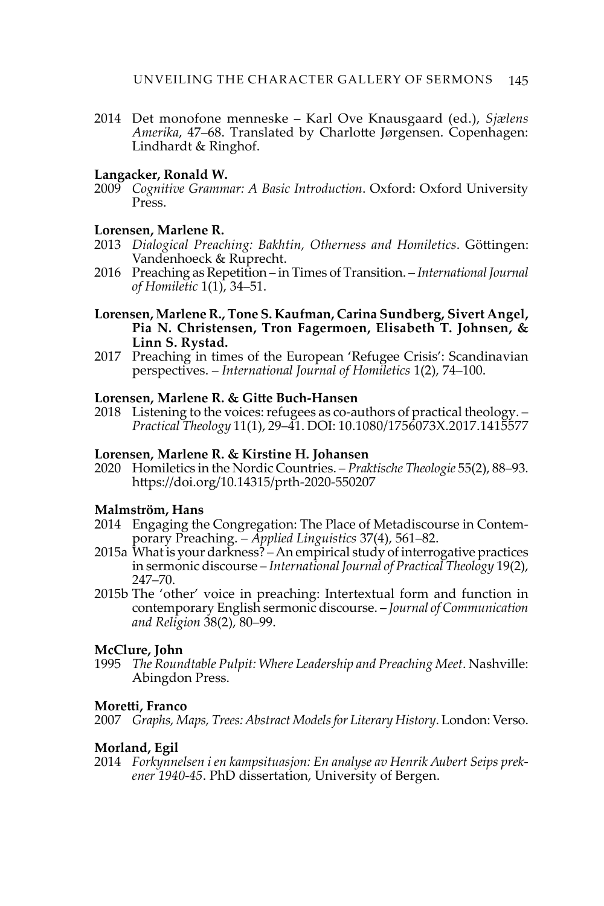2014 Det monofone menneske – Karl Ove Knausgaard (ed.), *Sjælens Amerika*, 47–68. Translated by Charlotte Jørgensen. Copenhagen: Lindhardt & Ringhof.

#### **Langacker, Ronald W.**

2009 *Cognitive Grammar: A Basic Introduction*. Oxford: Oxford University Press.

#### **Lorensen, Marlene R.**

- 2013 *Dialogical Preaching: Bakhtin, Otherness and Homiletics*. Göttingen: Vandenhoeck & Ruprecht.
- 2016 Preaching as Repetition in Times of Transition. *International Journal of Homiletic* 1(1), 34–51.

#### **Lorensen, Marlene R., Tone S. Kaufman, Carina Sundberg, Sivert Angel, Pia N. Christensen, Tron Fagermoen, Elisabeth T. Johnsen, & Linn S. Rystad.**

2017 Preaching in times of the European 'Refugee Crisis': Scandinavian perspectives. – *International Journal of Homiletics* 1(2), 74–100.

#### **Lorensen, Marlene R. & Gitte Buch-Hansen**

2018 Listening to the voices: refugees as co-authors of practical theology. – *Practical Theology* 11(1), 29–41. DOI: [10.1080/1756073X.2017.1415577](https://doi.org/10.1080/1756073X.2017.1415577)

#### **Lorensen, Marlene R. & Kirstine H. Johansen**

2020 Homiletics in the Nordic Countries. – *Praktische Theologie* 55(2), 88–93. <https://doi.org/10.14315/prth-2020-550207>

#### **Malmström, Hans**

- 2014 Engaging the Congregation: The Place of Metadiscourse in Contemporary Preaching. – *Applied Linguistics* 37(4), 561–82.
- 2015a What is your darkness? An empirical study of interrogative practices in sermonic discourse – *International Journal of Practical Theology* 19(2), 247–70.
- 2015b The 'other' voice in preaching: Intertextual form and function in contemporary English sermonic discourse. – *Journal of Communication and Religion* 38(2), 80–99.

#### **McClure, John**

1995 *The Roundtable Pulpit: Where Leadership and Preaching Meet*. Nashville: Abingdon Press.

#### **Moretti, Franco**

2007 *Graphs, Maps, Trees: Abstract Models for Literary History*. London: Verso.

# **Morland, Egil**

2014 *Forkynnelsen i en kampsituasjon: En analyse av Henrik Aubert Seips prekener 1940-45*. PhD dissertation, University of Bergen.